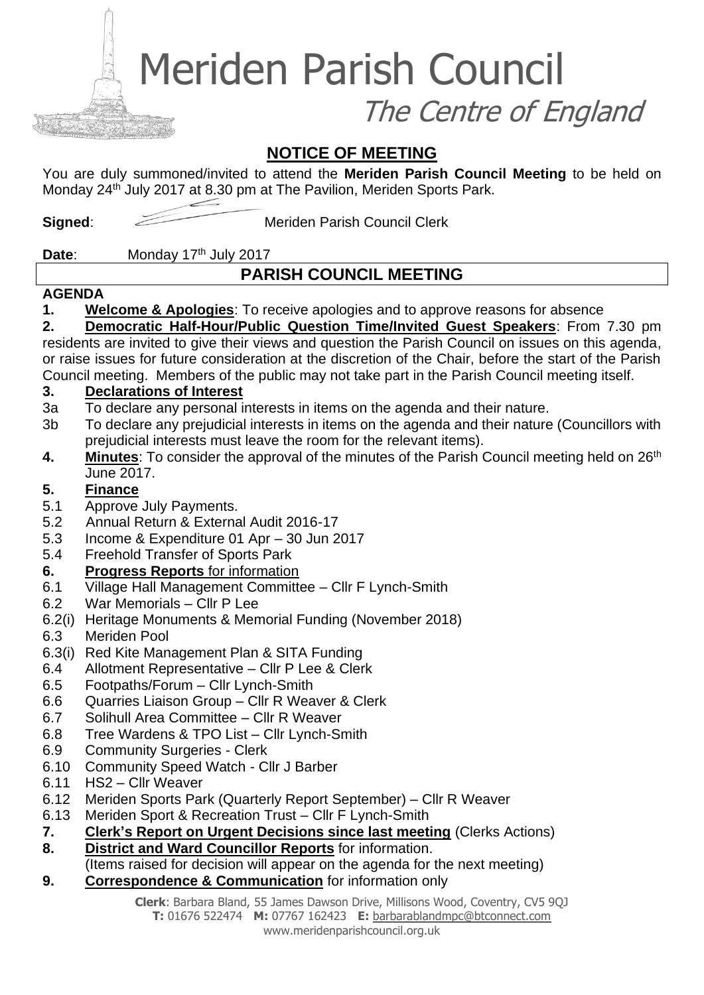Meriden Parish Council

The Centre of England

# **NOTICE OF MEETING**

You are duly summoned/invited to attend the **Meriden Parish Council Meeting** to be held on Monday 24<sup>th</sup> July 2017 at 8.30 pm at The Pavilion, Meriden Sports Park.

**Signed:** Meriden Parish Council Clerk

Date: Monday 17<sup>th</sup> July 2017

# **PARISH COUNCIL MEETING**

#### **AGENDA**

**1. Welcome & Apologies**: To receive apologies and to approve reasons for absence

# **2. Democratic Half-Hour/Public Question Time/Invited Guest Speakers**: From 7.30 pm

residents are invited to give their views and question the Parish Council on issues on this agenda, or raise issues for future consideration at the discretion of the Chair, before the start of the Parish Council meeting. Members of the public may not take part in the Parish Council meeting itself.

#### **3. Declarations of Interest**

- 3a To declare any personal interests in items on the agenda and their nature.
- 3b To declare any prejudicial interests in items on the agenda and their nature (Councillors with prejudicial interests must leave the room for the relevant items).
- 4. Minutes: To consider the approval of the minutes of the Parish Council meeting held on 26<sup>th</sup> June 2017.

#### **5. Finance**

- 5.1 Approve July Payments.
- 5.2 Annual Return & External Audit 2016-17
- 5.3 Income & Expenditure 01 Apr 30 Jun 2017
- 5.4 Freehold Transfer of Sports Park
- **6. Progress Reports** for information
- 6.1 Village Hall Management Committee Cllr F Lynch-Smith
- 6.2 War Memorials Cllr P Lee
- 6.2(i) Heritage Monuments & Memorial Funding (November 2018)
- 6.3 Meriden Pool
- 6.3(i) Red Kite Management Plan & SITA Funding
- 6.4 Allotment Representative Cllr P Lee & Clerk
- 6.5 Footpaths/Forum Cllr Lynch-Smith
- 6.6 Quarries Liaison Group Cllr R Weaver & Clerk
- 6.7 Solihull Area Committee Cllr R Weaver
- 6.8 Tree Wardens & TPO List Cllr Lynch-Smith
- 6.9 Community Surgeries Clerk
- 6.10 Community Speed Watch Cllr J Barber
- 6.11 HS2 Cllr Weaver
- 6.12 Meriden Sports Park (Quarterly Report September) Cllr R Weaver
- 6.13 Meriden Sport & Recreation Trust Cllr F Lynch-Smith
- **7. Clerk's Report on Urgent Decisions since last meeting** (Clerks Actions)
- **8. District and Ward Councillor Reports** for information.

(Items raised for decision will appear on the agenda for the next meeting)

**9. Correspondence & Communication** for information only